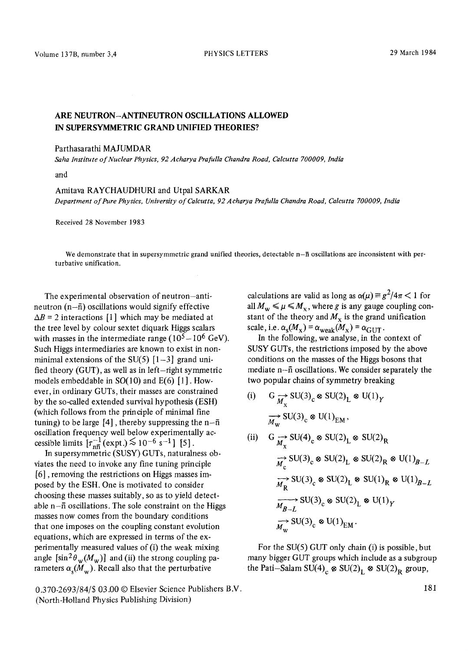## **ARE NEUTRON-ANTINEUTRON OSCILLATIONS ALLOWED IN SUPERSYMMETRIC GRAND UNIFIED THEORIES?**

## Parthasarathi MAJUMDAR

*Saha Institute of Nuclear Physics, 92 Acharya Prafulla Chandra Road, Calcutta 700009, India* 

and

## Amitava RAYCHAUDHURI and Utpal SARKAR

*Department of Pure Physics, University of Calcutta, 92 Acharya Prafulla Chandra Road, Calcutta 700009, India* 

Received 28 November 1983

We demonstrate that in supersymmetric grand unified theories, detectable  $n-\bar{n}$  oscillations are inconsistent with perturbative unification.

The experimental observation of neutron-antineutron  $(n-\bar{n})$  oscillations would signify effective  $\Delta B = 2$  interactions [1] which may be mediated at the tree level by colour sextet diquark Higgs scalars with masses in the intermediate range  $(10^5-10^6 \text{ GeV})$ . Such Higgs intermediaries are known to exist in nonminimal extensions of the  $SU(5)$  [1-3] grand unified theory (GUT), as well as in left-right symmetric models embeddable in SO(10) and E(6) [1]. However, in ordinary GUTs, their masses are constrained by the so-called extended survival hypothesis (ESH) (which follows from the principle of minimal fine tuning) to be large  $[4]$ , thereby suppressing the n- $\bar{n}$ oscillation frequency well below experimentally accessible limits  $\lceil \tau_{\text{ref}}^{-1}(\text{expt.}) \approx 10^{-6} \text{ s}^{-1} \rceil$  [5].

In supersymmetric (SUSY) GUTs, naturalness obviates the need to invoke any fine tuning principle [6], removing the restrictions on Higgs masses imposed by the ESH. One is motivated to consider choosing these masses suitably, so as to yield detectable  $n-\bar{n}$  oscillations. The sole constraint on the Higgs masses now comes from the boundary conditions that one imposes on the coupling constant evolution equations, which are expressed in terms of the experimentally measured values of (i) the weak mixing angle  $[\sin^2 \theta_w(M_w)]$  and (ii) the strong coupling parameters  $\alpha_{\rm s}(M_{\rm w})$ . Recall also that the perturbative

calculations are valid as long as  $\alpha(\mu) \equiv g^2/4\pi < 1$  for all  $M_w \leq \mu \leq M_x$ , where g is any gauge coupling constant of the theory and  $M_x$  is the grand unification scale, i.e.  $\alpha_s(M_x) = \alpha_{weak}(M_x) = \alpha_{GUT}$ .

In the following, we analyse, in the context of SUSY GUTs, the restrictions imposed by the above conditions on the masses of the Higgs bosons that mediate n-fi oscillations. We consider separately the two popular chains of symmetry breaking

- (i) G  $\rightarrow_{M_x} SU(3)_c \otimes SU(2)_L \otimes U(1)_Y$  $\overrightarrow{M_{\rm w}}$  SU(3)<sub>c</sub>  $\otimes$  U(1)<sub>EM</sub>,
- (ii)  $G \underset{M_x}{\rightarrow} SU(4)_{c} \otimes SU(2)_{L} \otimes SU(2)_{R}$  $\overrightarrow{M}_c$  SU(3)<sub>c</sub>  $\otimes$  SU(2)<sub>L</sub>  $\otimes$  SU(2)<sub>R</sub>  $\otimes$  U(1)<sub>B-L</sub>  $\overrightarrow{M_R}$  SU(3)<sub>c</sub>  $\otimes$  SU(2)<sub>L</sub>  $\otimes$  SU(1)<sub>R</sub>  $\otimes$  U(1)<sub>B-L</sub>  $\overrightarrow{M_{B-L}}$  SU(3)<sub>c</sub>  $\otimes$  SU(2)<sub>L</sub>  $\otimes$  U(1)<sub>Y</sub>  $\overrightarrow{M_{\rm w}}$  SU(3)<sub>c</sub>  $\otimes$  U(1)<sub>EM</sub>.

For the SU(5) GUT only chain (i) is possible, but many bigger GUT groups which include as a subgroup the Pati-Salam SU(4)<sub>c</sub>  $\otimes$  SU(2)<sub>L</sub>  $\otimes$  SU(2)<sub>R</sub> group,

0.370-2693/84/\$ 03.00 © Elsevier Science Publishers B.V. (North-Holland Physics Publishing Division)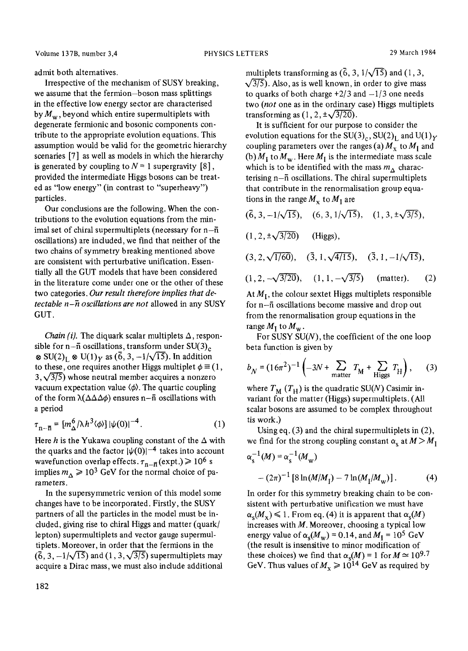admit both alternatives.

Irrespective of the mechanism of SUSY breaking, we assume that the fermion-boson mass splittings in the effective low energy sector are characterised by  $M_{\rm w}$ , beyond which entire supermultiplets with degenerate fermionic and bosonic components contribute to the appropriate evolution equations. This assumption would be valid for the geometric hierarchy scenaries [7] as well as models in which the hierarchy is generated by coupling to  $N = 1$  supergravity [8], provided the intermediate Higgs bosons can be treated as "low energy" (in contrast to "superheavy") particles.

Our conclusions are the following. When the contributions to the evolution equations from the minimal set of chiral supermultiplets (necessary for  $n-\overline{n}$ oscillations) are included, we find that neither of the two chains of symmetry breaking mentioned above are consistent with perturbative unification. Essentially all the GUT models that have been considered in the literature come under one or the other of these two categories. *Our result therefore implies that detectable n-h oscillations are not* allowed in any SUSY GUT.

*Chain (i).* The diquark scalar multiplets  $\Delta$ , responsible for n- $\bar{n}$  oscillations, transform under SU(3)<sub>c</sub>  $\otimes$  SU(2)<sub>L</sub>  $\otimes$  U(1)<sub>Y</sub> as ( $\overline{6}$ , 3, -1/ $\sqrt{15}$ ). In addition to these, one requires another Higgs multiplet  $\phi \equiv (1, 1)$  $3, \sqrt{3/5}$ ) whose neutral member acquires a nonzero vacuum expectation value  $\langle \phi \rangle$ . The quartic coupling of the form  $\lambda(\Delta\Delta\Delta\phi)$  ensures n- $\bar{n}$  oscillations with a period

$$
\tau_{\mathbf{n}-\overline{\mathbf{n}}} = [m_{\Delta}^{6}/\lambda h^{3} \langle \phi \rangle] |\psi(0)|^{-4}.
$$
 (1)

Here h is the Yukawa coupling constant of the  $\Delta$  with the quarks and the factor  $|\psi(0)|^{-4}$  takes into account wavefunction overlap effects.  $\tau_{n-\bar{n}}$  (expt.)  $\geq 10^6$  s implies  $m_A \ge 10^3$  GeV for the normal choice of parameters.

In the supersymmetric version of this model some changes have to be incorporated. Firstly, the SUSY partners of all the particles in the model must be included, giving rise to chiral Higgs and matter (quark/ lepton) supermultiplets and vector gauge supermultiplets. Moreover, in order that the fermions in the  $(6, 3, -1/\sqrt{15})$  and  $(1, 3, \sqrt{3/5})$  supermultiplets may acquire a Dirac mass, we must also include additional multiplets transforming as  $(\overline{6}, 3, 1/\sqrt{15})$  and  $(1, 3,$  $\sqrt{3/5}$ ). Also, as is well known, in order to give mass to quarks of both charge  $\pm 2/3$  and  $-1/3$  one needs two *(not* one as in the ordinary case) Higgs multiplets transforming as  $(1, 2, \pm\sqrt{3/20})$ .

It is sufficient for our purpose to consider the evolution equations for the  $SU(3)_c$ ,  $SU(2)_L$  and  $U(1)_Y$ coupling parameters over the ranges (a)  $M_x$  to  $M_1$  and (b)  $M_I$  to  $M_w$ . Here  $M_I$  is the intermediate mass scale which is to be identified with the mass  $m_A$  characterising  $n-\bar{n}$  oscillations. The chiral supermultiplets that contribute in the renormalisation group equations in the range  $M_{\rm x}$  to  $M_{\rm I}$  are

$$
(6, 3, -1/\sqrt{15}), (6, 3, 1/\sqrt{15}), (1, 3, \pm \sqrt{3}/5),
$$
  
\n
$$
(1, 2, \pm \sqrt{3}/20)
$$
 (Higgs),  
\n
$$
(3, 2, \sqrt{1/60}), (3, 1, \sqrt{4}/15), (3, 1, -1/\sqrt{15}),
$$
  
\n
$$
(1, 2, -\sqrt{3}/20), (1, 1, -\sqrt{3}/5)
$$
 (matter). (2)

At  $M_I$ , the colour sextet Higgs multiplets responsible for n-fi oscillations become massive and drop out from the renormalisation group equations in the range  $M_1$  to  $M_w$ .

For SUSY  $SU(N)$ , the coefficient of the one loop beta function is given by

$$
b_N = (16\pi^2)^{-1} \left(-3N + \sum_{\text{matter}} T_M + \sum_{\text{Higgs}} T_H\right),\qquad(3)
$$

where  $T_M$  ( $T_H$ ) is the quadratic SU(N) Casimir invariant for the matter (Higgs) supermultiplets. (All scalar bosons are assumed to be complex throughout tis work.)

Using eq. (3) and the chiral supermultiplets in (2), we find for the strong coupling constant  $\alpha_s$  at  $M > M_1$ 

$$
\alpha_{\rm s}^{-1}(M) = \alpha_{\rm s}^{-1}(M_{\rm w})
$$
  
-(2\pi)^{-1} [8 \ln(M/M\_{\rm I}) - 7 \ln(M\_{\rm I}/M\_{\rm w})]. (4)

In order for this symmetry breaking chain to be consistent with perturbative unification we must have  $\alpha_s(M_x) \leq 1$ . From eq. (4) it is apparent that  $\alpha_s(M)$ increases with  $M$ . Moreover, choosing a typical low energy value of  $\alpha_s(M_w) = 0.14$ , and  $M_I = 10^5$  GeV (the result is insensitive to minor modification of these choices) we find that  $\alpha_s(M) = 1$  for  $M \approx 10^{9.7}$ GeV. Thus values of  $M_x \ge 10^{14}$  GeV as required by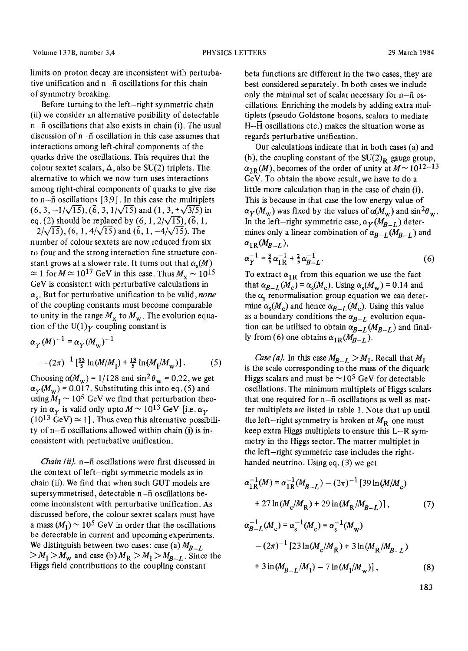limits on proton decay are inconsistent with perturbative unification and  $n-\bar{n}$  oscillations for this chain of symmetry breaking.

Before turning to the left-right symmetric chain (ii) we consider an alternative posibility of detectable n-fi oscillations that also exists in chain (i). The usual discussion of  $n-\bar{n}$  oscillation in this case assumes that interactions among left-chiral components of the quarks drive the oscillations. This requires that the colour sextet scalars,  $\Delta$ , also be SU(2) triplets. The alternative to which we now turn uses interactions among right-chiral components of quarks to give rise to  $n-\bar{n}$  oscillations [3,9]. In this case the multiplets  $(6, 3, -1/\sqrt{15})$ ,  $(\overline{6}, 3, 1/\sqrt{15})$  and  $(1, 3, \pm\sqrt{3/5})$  in eq. (2) should be replaced by  $(6, 1, 2/\sqrt{15})$ ,  $(\vec{6}, 1,$  $-2/\sqrt{15}$ , (6, 1, 4/ $\sqrt{15}$ ) and ( $\overline{6}$ , 1,  $-4/\sqrt{15}$ ). The number of colour sextets are now reduced from six to four and the strong interaction fine structure constant grows at a slower rate. It turns out that  $\alpha_s(M)$  $\approx 1$  for  $M \approx 10^{17}$  GeV in this case. Thus  $M_{\rm x} \sim 10^{15}$ GeV is consistent with perturbative calculations in  $\alpha_s$ . But for perturbative unification to be valid, *none* of the coupling constants must become comparable to unity in the range  $M_x$  to  $M_w$ . The evolution equation of the U(1)<sub>Y</sub> coupling constant is

$$
\alpha_Y(M)^{-1} = \alpha_Y(M_w)^{-1}
$$
  
–  $(2\pi)^{-1} \left[\frac{93}{5} \ln(M/M_1) + \frac{13}{5} \ln(M_1/M_w)\right]$ . (5)

Choosing  $\alpha(M_w) = 1/128$  and  $\sin^2 \theta_w = 0.22$ , we get  $\alpha_Y(M_w)$  = 0.017. Substituting this into eq. (5) and using  $M_I \sim 10^5$  GeV we find that perturbation theory in  $\alpha_V$  is valid only upto  $M \sim 10^{13}$  GeV [i.e.  $\alpha_V$  $(10^{13} \text{ GeV}) \simeq 1$ ]. Thus even this alternative possibility of  $n-\bar{n}$  oscillations allowed within chain (i) is inconsistent with perturbative unification.

*Chain (ii).* n- $\bar{n}$  oscillations were first discussed in the context of left-right symmetric models as in chain (ii). We find that when such GUT models are supersymmetrised, detectable n-ñ oscillations become inconsistent with perturbative unification. As discussed before, the colour sextet scalars must have a mass  $(M<sub>I</sub>) \sim 10^5$  GeV in order that the oscillations be detectable in current and upcoming experiments. We distinguish between two cases: case (a)  $M_{B-L}$  $> M_{\rm I} > M_{\rm w}$  and case (b)  $M_{\rm R} > M_{\rm I} > M_{B-L}$ . Since the Higgs field contributions to the coupling constant

beta functions are different in the two cases, they are best considered separately. In both cases we include only the minimal set of scalar necessary for  $n-\bar{n}$  osciilations. Enriching the models by adding extra multiplets (pseudo Goldstone bosons, scalars to mediate  $H-\overline{H}$  oscillations etc.) makes the situation worse as regards perturbative unification.

Our calculations indicate that in both cases (a) and (b), the coupling constant of the  $SU(2)_R$  gauge group,  $\alpha_{2R}(M)$ , becomes of the order of unity at  $M \sim 10^{12-13}$ GeV. To obtain the above result, we have to do a little more calculation than in the case of chain (i). This is because in that case the low energy value of  $\alpha_Y(M_w)$  was fixed by the values of  $\alpha(M_w)$  and  $\sin^2\theta_w$ . In the left-right symmetric case,  $\alpha_V(M_{R-L})$  determines only a linear combination of  $\alpha_{B-L}(M_{B-L})$  and  $\alpha_{1R}(M_{B-L}),$ 

$$
\alpha_Y^{-1} = \frac{3}{5} \alpha_{1R}^{-1} + \frac{2}{5} \alpha_{B-L}^{-1}.
$$
 (6)

To extract  $\alpha_{1R}$  from this equation we use the fact that  $\alpha_{B-L}(M_c) = \alpha_s(M_c)$ . Using  $\alpha_s(M_w) = 0.14$  and the  $\alpha_s$  renormalisation group equation we can determine  $\alpha_{s}(M_c)$  and hence  $\alpha_{B-L}(M_c)$ . Using this value as a boundary conditions the  $\alpha_{B-L}$  evolution equation can be utilised to obtain  $\alpha_{B-L}(M_{B-L})$  and finally from (6) one obtains  $\alpha_{1R}(M_{R-1})$ .

*Case (a).* In this case  $M_{B-L} > M_I$ . Recall that  $M_I$ is the scale corresponding to the mass of the diquark Higgs scalars and must be  $\sim 10^5$  GeV for detectable oscillations. The minimum multiplets of Higgs scalars that one required for  $n-\bar{n}$  oscillations as well as matter multiplets are listed in table 1. Note that up until the left-right symmetry is broken at  $M_{\rm R}$  one must keep extra Higgs multiplets to ensure this L-R symmetry in the Higgs sector. The matter multiplet in the left-right symmetric case includes the righthanded neutrino. Using eq. (3) we get

$$
\alpha_{1R}^{-1}(M) = \alpha_{1R}^{-1}(M_{B-L}) - (2\pi)^{-1} [39 \ln(M/M_c) + 27 \ln(M_c/M_R) + 29 \ln(M_R/M_{B-L})],
$$
 (7)

$$
\alpha_{B-L}^{-1}(M_c) = \alpha_s^{-1}(M_c) = \alpha_s^{-1}(M_w)
$$
  
 
$$
- (2\pi)^{-1} [23\ln(M_c/M_R) + 3\ln(M_R/M_{B-L})
$$
  
 
$$
+ 3\ln(M_{B-L}/M_1) - 7\ln(M_1/M_w)], \qquad (8)
$$

183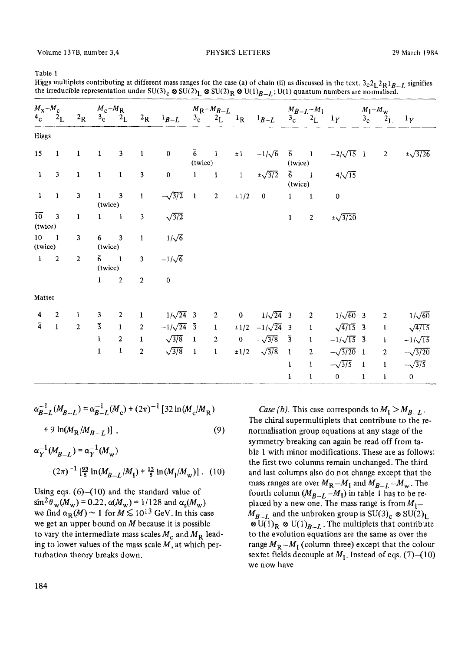Table 1

Higgs multiplets contributing at different mass ranges for the case (a) of chain (ii) as discussed in the text.  $3c^2L^2R^1B-L$  signifies the irreducible representation under SU(3)<sub>c</sub>  $\otimes$  SU(2)<sub>L</sub>  $\otimes$  SU(2)<sub>R</sub>  $\otimes$  U(1)<sub>B-L</sub>; U(1) quantum numbers are normalised.

| $M_{\rm X} - M_{\rm C}$      |                                          |              |                             |                          |                         |                  | $\frac{M_c - M_R}{2R}$ $\frac{M_R - M_{B-L}}{3c}$ $\frac{M_R - M_{B-L}}{3c}$ $\frac{M_B - L - M_I}{1R}$ $\frac{M_{B-L} - M_I}{3c}$ $\frac{M_{B-L} - M_I}{2L}$ |                  |              |                              |                        |                |                    | $M_1-M_w$   |                  |                  |
|------------------------------|------------------------------------------|--------------|-----------------------------|--------------------------|-------------------------|------------------|---------------------------------------------------------------------------------------------------------------------------------------------------------------|------------------|--------------|------------------------------|------------------------|----------------|--------------------|-------------|------------------|------------------|
|                              | $4_c$ $2_L$                              |              |                             |                          |                         |                  |                                                                                                                                                               |                  |              |                              |                        |                |                    |             | $3c \t 2L \t 1Y$ |                  |
| Higgs                        |                                          |              |                             |                          |                         |                  |                                                                                                                                                               |                  |              |                              |                        |                |                    |             |                  |                  |
| $15 \quad 1$                 |                                          | $\mathbf{1}$ | $\mathbf{1}$                | $\mathbf{3}$             | $\mathbf{1}$            | $\mathbf 0$      | (twice)                                                                                                                                                       | $\overline{6}$ 1 | $\pm 1$      | $-1/\sqrt{6}$ $\bar{6}$ 1    | (twice)                |                | $-2/\sqrt{15}$ 1 2 |             |                  | $\pm\sqrt{3/26}$ |
| $\mathbf{1}$                 | $\overline{\mathbf{3}}$                  | $\mathbf 1$  | $\mathbf{1}$                | $\mathbf 1$              | $\overline{\mathbf{3}}$ | $\mathbf 0$      | $\mathbf{1}$                                                                                                                                                  | $\blacksquare$   | $\mathbf{1}$ | $\pm\sqrt{3/2}$              | $\bar{6}$ 1<br>(twice) |                | $4/\sqrt{15}$      |             |                  |                  |
| $\mathbf{1}$                 | $\mathbf{1}$                             | $\mathbf{3}$ | $1 \quad 3$<br>(twice)      |                          | $\mathbf 1$             | $-\sqrt{3/2}$    | $\mathbf{1}$                                                                                                                                                  | $\overline{2}$   | $\pm 1/2$    | $\bf{0}$                     | $1 \quad 1$            |                | $\bf{0}$           |             |                  |                  |
| $\overline{10}$ 3<br>(twice) |                                          | $\mathbf{1}$ | $1 \quad 1$                 |                          | $\overline{\mathbf{3}}$ | $\sqrt{3/2}$     |                                                                                                                                                               |                  |              |                              | $\mathbf{1}$           | $\mathbf{2}$   | $\pm\sqrt{3/20}$   |             |                  |                  |
|                              | $\mathbf{3}$<br>$10 \qquad 1$<br>(twice) |              | $6 \qquad 3$<br>(twice)     |                          | $\mathbf 1$             | $1/\sqrt{6}$     |                                                                                                                                                               |                  |              |                              |                        |                |                    |             |                  |                  |
| $1 \quad 2$                  |                                          | $\sqrt{2}$   | $\overline{6}$ 1<br>(twice) |                          | $\overline{\mathbf{3}}$ | $-1/\sqrt{6}$    |                                                                                                                                                               |                  |              |                              |                        |                |                    |             |                  |                  |
|                              |                                          |              | $\mathbf{1}$                | $\overline{\phantom{a}}$ | $\overline{2}$          | $\bf{0}$         |                                                                                                                                                               |                  |              |                              |                        |                |                    |             |                  |                  |
| Matter                       |                                          |              |                             |                          |                         |                  |                                                                                                                                                               |                  |              |                              |                        |                |                    |             |                  |                  |
| 4                            | $\overline{c}$                           | $\mathbf{1}$ | 3                           | $\sqrt{2}$               | $\mathbf{1}$            | $1/\sqrt{24}$ 3  |                                                                                                                                                               | $\boldsymbol{2}$ |              | 0 $1/\sqrt{24}$ 3 2          |                        |                | $1/\sqrt{60}$ 3    |             | $\overline{c}$   | $1/\sqrt{60}$    |
| $\overline{4}$               | $\mathbf{1}$                             | $\mathbf 2$  | $\overline{3}$              | $\mathbf{1}$             | $\mathbf{2}$            | $-1/\sqrt{24}$ 3 |                                                                                                                                                               | $\mathbf{1}$     |              | $\pm 1/2$ $-1/\sqrt{24}$ 3 1 |                        |                | $\sqrt{4/15}$ 3 1  |             |                  | $\sqrt{4/15}$    |
|                              |                                          |              | $\mathbf{1}$                | $\overline{2}$           | $\mathbf{1}$            | $-\sqrt{3/8}$ 1  |                                                                                                                                                               | $\boldsymbol{2}$ | $\mathbf{0}$ | $-\sqrt{3/8}$ 3              |                        | $\blacksquare$ | $-1/\sqrt{15}$ 3 1 |             |                  | $-1/\sqrt{15}$   |
|                              |                                          |              | $\mathbf{1}$                | $\mathbf 1$              | $\mathbf{2}$            | $\sqrt{3/8}$ 1   |                                                                                                                                                               | $\mathbf{1}$     |              | $\pm 1/2$ $\sqrt{3/8}$       | $\mathbf{1}$           | $\overline{2}$ | $-\sqrt{3/20}$ 1   |             | $2^{\circ}$      | $-\sqrt{3/20}$   |
|                              |                                          |              |                             |                          |                         |                  |                                                                                                                                                               |                  |              |                              | $\mathbf{1}$           | $\mathbf{1}$   | $-\sqrt{3/5}$ 1    |             | $\mathbf{1}$     | $-\sqrt{3/5}$    |
|                              |                                          |              |                             |                          |                         |                  |                                                                                                                                                               |                  |              |                              | $\mathbf{1}$           | $\mathbf{1}$   | $\mathbf{0}$       | $\mathbf 1$ | $\mathbf{1}$     | $\boldsymbol{0}$ |

$$
\alpha_{B-L}^{-1}(M_{B-L}) = \alpha_{B-L}^{-1}(M_c) + (2\pi)^{-1} [32 \ln(M_c/M_R) + 9 \ln(M_R/M_{B-L})]
$$
\n(9)

$$
\alpha_Y^{-1}(M_{B-L}) = \alpha_Y^{-1}(M_w)
$$
  
 
$$
- (2\pi)^{-1} \left[\frac{93}{5} \ln(M_{B-L}/M_1) + \frac{13}{5} \ln(M_1/M_w)\right]. (10)
$$

Using eqs.  $(6)$ - $(10)$  and the standard value of  $\sin^2\theta_{\rm w}(M_{\rm w}) = 0.22$ ,  $\alpha(M_{\rm w}) = 1/128$  and  $\alpha_{\rm s}(M_{\rm w})$ we find  $\alpha_R(M) \sim 1$  for  $M \le 10^{13}$  GeV. In this case we get an upper bound on  $M$  because it is possible to vary the intermediate mass scales  $M_c$  and  $M_R$  leading to lower values of the mass scale  $M$ , at which perturbation theory breaks down.

*Case (b).* This case corresponds to  $M_I > M_{B-L}$ . The chiral supermultiplets that contribute to the renormalisation group equations at any stage of the symmetry breaking can again be read off from table 1 with minor modifications. These are as follows: the first two columns remain unchanged. The third and last columns also do not change except that the mass ranges are over  $M_R - M_I$  and  $M_{B-L} - M_w$ . The fourth column  $(M_{B-L} - M_I)$  in table 1 has to be replaced by a new one. The mass range is from  $M_1 M_{B-L}$  and the unbroken group is  $SU(3)_c \otimes SU(2)_L$  $\otimes$  U(1)<sub>R</sub>  $\otimes$  U(1)<sub>B-L</sub>. The multiplets that contribute to the evolution equations are the same as over the range  $M_R - M_I$  (column three) except that the colour sextet fields decouple at  $M<sub>1</sub>$ . Instead of eqs. (7)-(10) we now have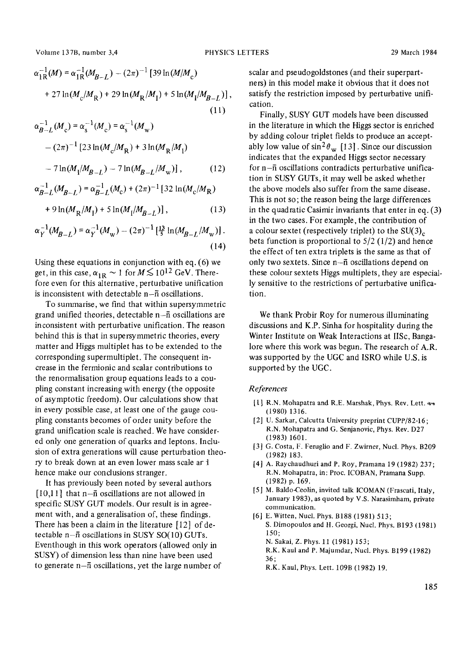Volume 137B, number 3,4 PHYSICS LETTERS 29 March 1984

$$
\alpha_{1R}^{-1}(M) = \alpha_{1R}^{-1}(M_{B-L}) - (2\pi)^{-1} [39 \ln(M/M_c) + 27 \ln(M_c/M_R) + 29 \ln(M_R/M_I) + 5 \ln(M_I/M_{B-L})],
$$
\n(11)

$$
\alpha_{B-L}^{-1}(M_c) = \alpha_s^{-1}(M_c) = \alpha_s^{-1}(M_w)
$$
  
– (2\pi)<sup>-1</sup> [23 ln(M<sub>c</sub>/M<sub>R</sub>) + 3 ln(M<sub>R</sub>/M<sub>1</sub>)  
– 7 ln(M<sub>1</sub>/M<sub>B-L</sub>) – 7 ln(M<sub>B-L</sub>/M<sub>w</sub>)], (12)

$$
\alpha_{B-L}^{-1}(M_{B-L}) = \alpha_{B-L}^{-1}(M_c) + (2\pi)^{-1} [32 \ln(M_c/M_R)]
$$

$$
+ 9\ln(M_R/M_1) + 5\ln(M_1/M_{B-L})], \qquad (13)
$$

$$
\alpha_Y^{-1}(M_{B-L}) = \alpha_Y^{-1}(M_{\rm w}) - (2\pi)^{-1} \left[\frac{13}{5} \ln(M_{B-L}/M_{\rm w})\right].
$$
\n(14)

Using these equations in conjunction with eq. (6) we get, in this case,  $\alpha_{1R} \sim 1$  for  $M \lesssim 10^{12}$  GeV. Therefore even for this alternative, perturbative unification is inconsistent with detectable  $n-\overline{n}$  oscillations.

To summarise, we find that within supersymmetric grand unified theories, detectable  $n-\bar{n}$  oscillations are inconsistent with perturbative unification. The reason behind this is that in supersymmetric theories, every matter and Higgs multiplet has to be extended to the corresponding supermultiplet. The consequent increase in the fermionic and scalar contributions to the renormalisation group equations leads to a coupling constant increasing with energy (the opposite of asymptotic freedom). Our calculations show that in every possible case, at least one of the gauge coupling constants becomes of order unity before the grand unification scale is reached. We have considered only one generation of quarks and leptons. Inclusion of extra generations will cause perturbation theory to break down at an even lower mass scale ar hence make our conclusions stranger.

It has previously been noted by several authors  $[10,11]$  that n- $\bar{n}$  oscillations are not allowed in specific SUSY GUT models. Our result is in agreement with, and a generalisation of, these findings. There has been a claim in the literature [12] of detectable n- $\bar{n}$  oscillations in SUSY SO(10) GUTs. Eventhough in this work operators (allowed only in SUSY) of dimension less than nine have been used to generate  $n-\overline{n}$  oscillations, yet the large number of scalar and pseudogoldstones (and their superpartners) in this model make it obvious that it does not satisfy the restriction imposed by perturbative unification.

Finally, SUSY GUT models have been discussed in the literature in which the Higgs sector is enriched by adding colour triplet fields to produce an acceptably low value of  $\sin^2\theta_{\rm w}$  [13]. Since our discussion indicates that the expanded Higgs sector necessary for  $n-\overline{n}$  oscillations contradicts perturbative unification in SUSY GUTs, it may well be asked whether the above models also suffer from the same disease. This is not so; the reason being the large differences in the quadratic Casimir invariants that enter in eq. (3) in the two cases. For example, the contribution of a colour sextet (respectively triplet) to the  $SU(3)_c$ . beta function is proportional to  $5/2$  (1/2) and hence the effect of ten extra triplets is the same as that of only two sextets. Since n-fi oscillations depend on these colour sextets Higgs multiplets, they are especially sensitive to the restrictions of perturbative unification.

We thank Probir Roy for numerous illuminating discussions and K.P. Sinha for hospitality during the Winter Institute on Weak Interactions at IISc, Bangalore where this work was begun. The research of A.R. was supported by the UGC and ISRO while U.S. is supported by the UGC.

## *References*

- $[1]$  R.N. Mohapatra and R.E. Marshak, Phys. Rev. Lett.  $44$ (1980) 1316.
- [2] U. Sarkar, Calcutta University preprint CUPP/82-16; R.N. Mohapatra and G. Senjanovic, Phys. Rev. D27 (1983) 1601.
- [3] G. Costa, F. Feruglio and F. Zwirner, Nucl. Phys. B209 (1982) 183.
- [4] A. Rayehaudhuri and P. Roy, Pramana 19 (1982) 237; R.N. Mohapatra, in: Proc. ICOBAN, Pramana Supp. (1982) p, 169.
- [5] M. Baldo-Ceolin, invited talk ICOMAN (Frascati, Italy, January 1983), as quoted by V.S. Narasimham, private communication.
- [6] E. Witten, Nuel. Phys. B188 (1981) 513; S. Dimopoulos and H. Georgi, Nucl. Phys. B193 (1981) 150; N. Sakai, Z. Phys. 11 (1981) 153; R.K. Kaul and P. Majumdar, Nucl. Phys. B199 (1982) 36;
	- R.K. Kaul, Phys. Lett. 109B (1982) 19.